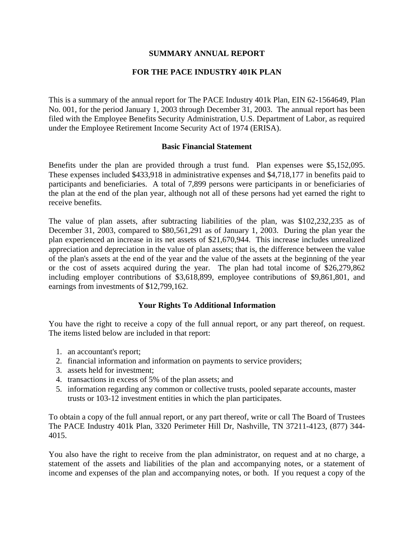## **SUMMARY ANNUAL REPORT**

## **FOR THE PACE INDUSTRY 401K PLAN**

This is a summary of the annual report for The PACE Industry 401k Plan, EIN 62-1564649, Plan No. 001, for the period January 1, 2003 through December 31, 2003. The annual report has been filed with the Employee Benefits Security Administration, U.S. Department of Labor, as required under the Employee Retirement Income Security Act of 1974 (ERISA).

## **Basic Financial Statement**

Benefits under the plan are provided through a trust fund. Plan expenses were \$5,152,095. These expenses included \$433,918 in administrative expenses and \$4,718,177 in benefits paid to participants and beneficiaries. A total of 7,899 persons were participants in or beneficiaries of the plan at the end of the plan year, although not all of these persons had yet earned the right to receive benefits.

The value of plan assets, after subtracting liabilities of the plan, was \$102,232,235 as of December 31, 2003, compared to \$80,561,291 as of January 1, 2003. During the plan year the plan experienced an increase in its net assets of \$21,670,944. This increase includes unrealized appreciation and depreciation in the value of plan assets; that is, the difference between the value of the plan's assets at the end of the year and the value of the assets at the beginning of the year or the cost of assets acquired during the year. The plan had total income of \$26,279,862 including employer contributions of \$3,618,899, employee contributions of \$9,861,801, and earnings from investments of \$12,799,162.

## **Your Rights To Additional Information**

You have the right to receive a copy of the full annual report, or any part thereof, on request. The items listed below are included in that report:

- 1. an accountant's report;
- 2. financial information and information on payments to service providers;
- 3. assets held for investment;
- 4. transactions in excess of 5% of the plan assets; and
- 5. information regarding any common or collective trusts, pooled separate accounts, master trusts or 103-12 investment entities in which the plan participates.

To obtain a copy of the full annual report, or any part thereof, write or call The Board of Trustees The PACE Industry 401k Plan, 3320 Perimeter Hill Dr, Nashville, TN 37211-4123, (877) 344- 4015.

You also have the right to receive from the plan administrator, on request and at no charge, a statement of the assets and liabilities of the plan and accompanying notes, or a statement of income and expenses of the plan and accompanying notes, or both. If you request a copy of the